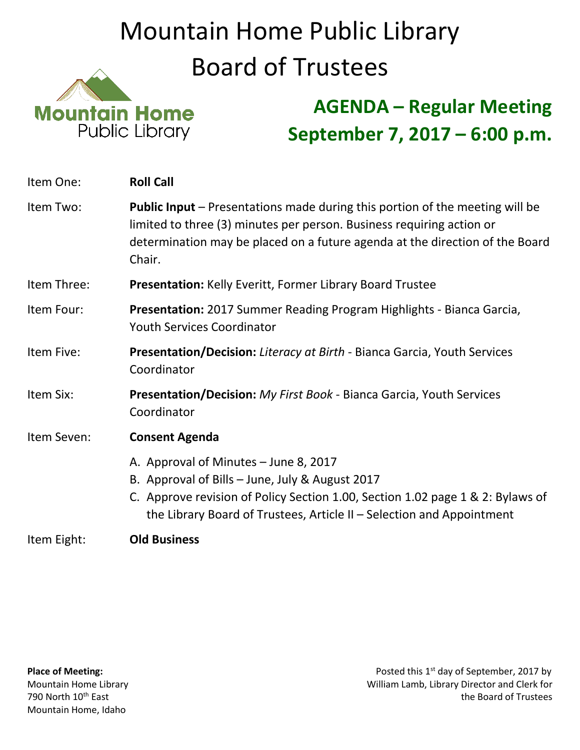## Mountain Home Public Library Board of Trustees



## **AGENDA – Regular Meeting September 7, 2017 – 6:00 p.m.**

| Item One:   | <b>Roll Call</b>                                                                                                                                                                                                                                    |
|-------------|-----------------------------------------------------------------------------------------------------------------------------------------------------------------------------------------------------------------------------------------------------|
| Item Two:   | Public Input - Presentations made during this portion of the meeting will be<br>limited to three (3) minutes per person. Business requiring action or<br>determination may be placed on a future agenda at the direction of the Board<br>Chair.     |
| Item Three: | <b>Presentation: Kelly Everitt, Former Library Board Trustee</b>                                                                                                                                                                                    |
| Item Four:  | <b>Presentation:</b> 2017 Summer Reading Program Highlights - Bianca Garcia,<br><b>Youth Services Coordinator</b>                                                                                                                                   |
| Item Five:  | <b>Presentation/Decision:</b> Literacy at Birth - Bianca Garcia, Youth Services<br>Coordinator                                                                                                                                                      |
| Item Six:   | <b>Presentation/Decision:</b> My First Book - Bianca Garcia, Youth Services<br>Coordinator                                                                                                                                                          |
| Item Seven: | <b>Consent Agenda</b>                                                                                                                                                                                                                               |
|             | A. Approval of Minutes - June 8, 2017<br>B. Approval of Bills - June, July & August 2017<br>C. Approve revision of Policy Section 1.00, Section 1.02 page 1 & 2: Bylaws of<br>the Library Board of Trustees, Article II – Selection and Appointment |
|             |                                                                                                                                                                                                                                                     |

Item Eight: **Old Business**